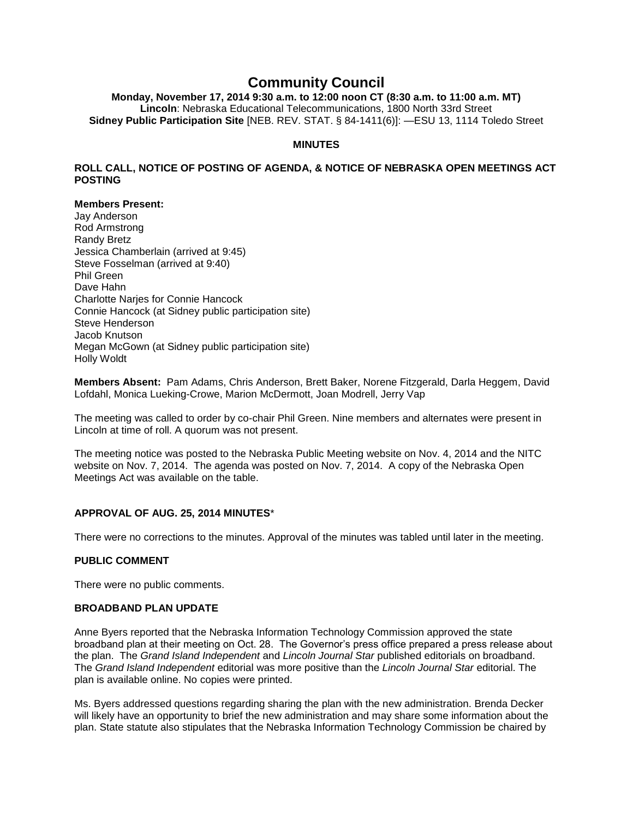# **Community Council**

**Monday, November 17, 2014 9:30 a.m. to 12:00 noon CT (8:30 a.m. to 11:00 a.m. MT) Lincoln**: Nebraska Educational Telecommunications, 1800 North 33rd Street **Sidney Public Participation Site** [NEB. REV. STAT. § 84-1411(6)]: —ESU 13, 1114 Toledo Street

## **MINUTES**

## **ROLL CALL, NOTICE OF POSTING OF AGENDA, & NOTICE OF NEBRASKA OPEN MEETINGS ACT POSTING**

## **Members Present:**

Jay Anderson Rod Armstrong Randy Bretz Jessica Chamberlain (arrived at 9:45) Steve Fosselman (arrived at 9:40) Phil Green Dave Hahn Charlotte Narjes for Connie Hancock Connie Hancock (at Sidney public participation site) Steve Henderson Jacob Knutson Megan McGown (at Sidney public participation site) Holly Woldt

**Members Absent:** Pam Adams, Chris Anderson, Brett Baker, Norene Fitzgerald, Darla Heggem, David Lofdahl, Monica Lueking-Crowe, Marion McDermott, Joan Modrell, Jerry Vap

The meeting was called to order by co-chair Phil Green. Nine members and alternates were present in Lincoln at time of roll. A quorum was not present.

The meeting notice was posted to the Nebraska Public Meeting website on Nov. 4, 2014 and the NITC website on Nov. 7, 2014. The agenda was posted on Nov. 7, 2014. A copy of the Nebraska Open Meetings Act was available on the table.

# **APPROVAL OF AUG. 25, 2014 MINUTES**\*

There were no corrections to the minutes. Approval of the minutes was tabled until later in the meeting.

## **PUBLIC COMMENT**

There were no public comments.

## **BROADBAND PLAN UPDATE**

Anne Byers reported that the Nebraska Information Technology Commission approved the state broadband plan at their meeting on Oct. 28. The Governor's press office prepared a press release about the plan. The *Grand Island Independent* and *Lincoln Journal Star* published editorials on broadband. The *Grand Island Independent* editorial was more positive than the *Lincoln Journal Star* editorial. The plan is available online. No copies were printed.

Ms. Byers addressed questions regarding sharing the plan with the new administration. Brenda Decker will likely have an opportunity to brief the new administration and may share some information about the plan. State statute also stipulates that the Nebraska Information Technology Commission be chaired by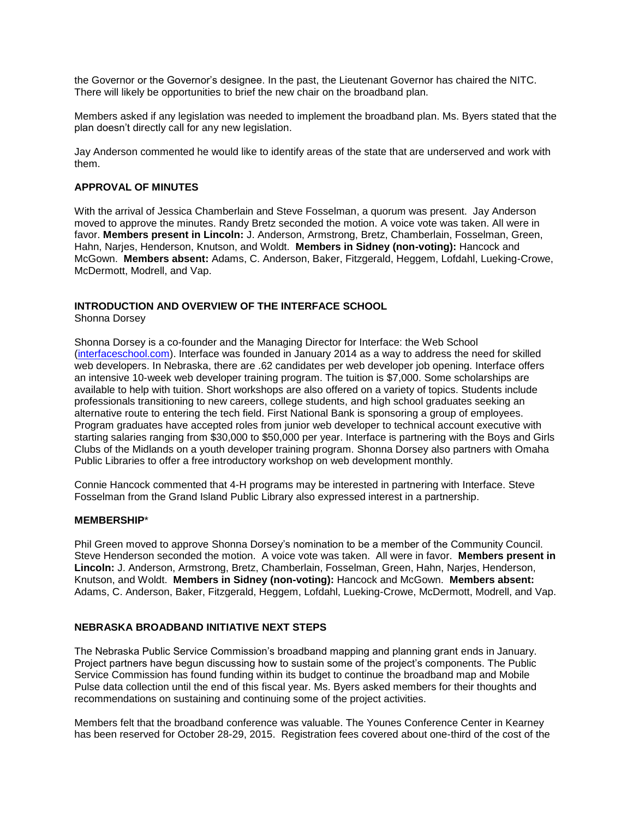the Governor or the Governor's designee. In the past, the Lieutenant Governor has chaired the NITC. There will likely be opportunities to brief the new chair on the broadband plan.

Members asked if any legislation was needed to implement the broadband plan. Ms. Byers stated that the plan doesn't directly call for any new legislation.

Jay Anderson commented he would like to identify areas of the state that are underserved and work with them.

## **APPROVAL OF MINUTES**

With the arrival of Jessica Chamberlain and Steve Fosselman, a quorum was present. Jay Anderson moved to approve the minutes. Randy Bretz seconded the motion. A voice vote was taken. All were in favor. **Members present in Lincoln:** J. Anderson, Armstrong, Bretz, Chamberlain, Fosselman, Green, Hahn, Narjes, Henderson, Knutson, and Woldt. **Members in Sidney (non-voting):** Hancock and McGown. **Members absent:** Adams, C. Anderson, Baker, Fitzgerald, Heggem, Lofdahl, Lueking-Crowe, McDermott, Modrell, and Vap.

#### **INTRODUCTION AND OVERVIEW OF THE INTERFACE SCHOOL** Shonna Dorsey

Shonna Dorsey is a co-founder and the Managing Director for Interface: the Web School [\(interfaceschool.com\)](http://interfaceschool.com/). Interface was founded in January 2014 as a way to address the need for skilled web developers. In Nebraska, there are .62 candidates per web developer job opening. Interface offers an intensive 10-week web developer training program. The tuition is \$7,000. Some scholarships are available to help with tuition. Short workshops are also offered on a variety of topics. Students include professionals transitioning to new careers, college students, and high school graduates seeking an alternative route to entering the tech field. First National Bank is sponsoring a group of employees. Program graduates have accepted roles from junior web developer to technical account executive with starting salaries ranging from \$30,000 to \$50,000 per year. Interface is partnering with the Boys and Girls Clubs of the Midlands on a youth developer training program. Shonna Dorsey also partners with Omaha Public Libraries to offer a free introductory workshop on web development monthly.

Connie Hancock commented that 4-H programs may be interested in partnering with Interface. Steve Fosselman from the Grand Island Public Library also expressed interest in a partnership.

## **MEMBERSHIP**\*

Phil Green moved to approve Shonna Dorsey's nomination to be a member of the Community Council. Steve Henderson seconded the motion. A voice vote was taken. All were in favor. **Members present in Lincoln:** J. Anderson, Armstrong, Bretz, Chamberlain, Fosselman, Green, Hahn, Narjes, Henderson, Knutson, and Woldt. **Members in Sidney (non-voting):** Hancock and McGown. **Members absent:** Adams, C. Anderson, Baker, Fitzgerald, Heggem, Lofdahl, Lueking-Crowe, McDermott, Modrell, and Vap.

## **NEBRASKA BROADBAND INITIATIVE NEXT STEPS**

The Nebraska Public Service Commission's broadband mapping and planning grant ends in January. Project partners have begun discussing how to sustain some of the project's components. The Public Service Commission has found funding within its budget to continue the broadband map and Mobile Pulse data collection until the end of this fiscal year. Ms. Byers asked members for their thoughts and recommendations on sustaining and continuing some of the project activities.

Members felt that the broadband conference was valuable. The Younes Conference Center in Kearney has been reserved for October 28-29, 2015. Registration fees covered about one-third of the cost of the